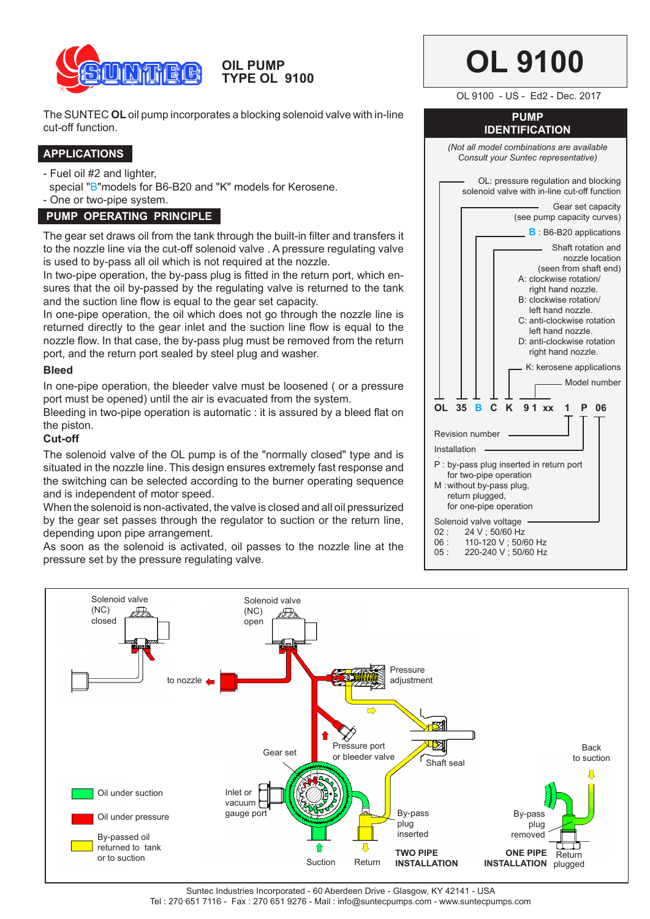

**OIL PUMP TYPE OL 9100** 

The SUNTEC **OL** oil pump incorporates a blocking solenoid valve with in-line cut-off function.

# **APPLICATIONS**

- Fuel oil #2 and lighter,

special "B"models for B6-B20 and "K" models for Kerosene.

- One or two-pipe system.

# **PUMP OPERATING PRINCIPLE**

The gear set draws oil from the tank through the built-in filter and transfers it to the nozzle line via the cut-off solenoid valve . A pressure regulating valve is used to by-pass all oil which is not required at the nozzle.

In two-pipe operation, the by-pass plug is fitted in the return port, which ensures that the oil by-passed by the regulating valve is returned to the tank and the suction line flow is equal to the gear set capacity.

In one-pipe operation, the oil which does not go through the nozzle line is returned directly to the gear inlet and the suction line flow is equal to the nozzle flow. In that case, the by-pass plug must be removed from the return port, and the return port sealed by steel plug and washer.

## **Bleed**

In one-pipe operation, the bleeder valve must be loosened ( or a pressure port must be opened) until the air is evacuated from the system.

Bleeding in two-pipe operation is automatic : it is assured by a bleed flat on the piston.

## **Cut-off**

The solenoid valve of the OL pump is of the "normally closed" type and is situated in the nozzle line. This design ensures extremely fast response and the switching can be selected according to the burner operating sequence and is independent of motor speed.

When the solenoid is non-activated, the valve is closed and all oil pressurized by the gear set passes through the regulator to suction or the return line, depending upon pipe arrangement.

As soon as the solenoid is activated, oil passes to the nozzle line at the pressure set by the pressure regulating valve.





Suntec Industries Incorporated - 60 Aberdeen Drive - Glasgow, KY 42141 - USA Tel : 270 651 7116 - Fax : 270 651 9276 - Mail : info@suntecpumps.com - www.suntecpumps.com

# **OL 9100**

OL 9100 - US - Ed2 - Dec. 2017

#### **PUMP IDENTIFICATION**